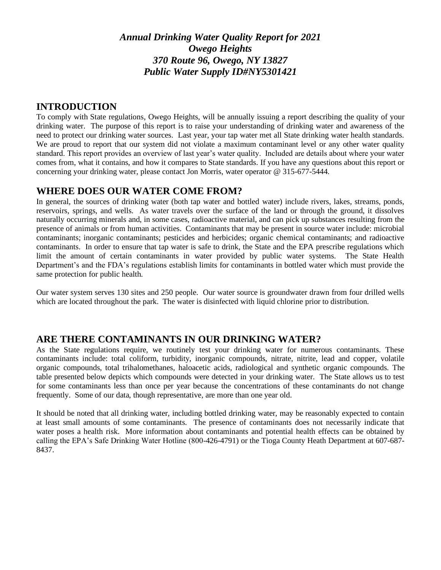*Annual Drinking Water Quality Report for 2021 Owego Heights 370 Route 96, Owego, NY 13827 Public Water Supply ID#NY5301421*

## **INTRODUCTION**

To comply with State regulations, Owego Heights, will be annually issuing a report describing the quality of your drinking water. The purpose of this report is to raise your understanding of drinking water and awareness of the need to protect our drinking water sources. Last year, your tap water met all State drinking water health standards. We are proud to report that our system did not violate a maximum contaminant level or any other water quality standard. This report provides an overview of last year's water quality. Included are details about where your water comes from, what it contains, and how it compares to State standards. If you have any questions about this report or concerning your drinking water, please contact Jon Morris, water operator @ 315-677-5444.

# **WHERE DOES OUR WATER COME FROM?**

In general, the sources of drinking water (both tap water and bottled water) include rivers, lakes, streams, ponds, reservoirs, springs, and wells. As water travels over the surface of the land or through the ground, it dissolves naturally occurring minerals and, in some cases, radioactive material, and can pick up substances resulting from the presence of animals or from human activities. Contaminants that may be present in source water include: microbial contaminants; inorganic contaminants; pesticides and herbicides; organic chemical contaminants; and radioactive contaminants. In order to ensure that tap water is safe to drink, the State and the EPA prescribe regulations which limit the amount of certain contaminants in water provided by public water systems. The State Health Department's and the FDA's regulations establish limits for contaminants in bottled water which must provide the same protection for public health.

Our water system serves 130 sites and 250 people. Our water source is groundwater drawn from four drilled wells which are located throughout the park. The water is disinfected with liquid chlorine prior to distribution.

# **ARE THERE CONTAMINANTS IN OUR DRINKING WATER?**

As the State regulations require, we routinely test your drinking water for numerous contaminants. These contaminants include: total coliform, turbidity, inorganic compounds, nitrate, nitrite, lead and copper, volatile organic compounds, total trihalomethanes, haloacetic acids, radiological and synthetic organic compounds. The table presented below depicts which compounds were detected in your drinking water. The State allows us to test for some contaminants less than once per year because the concentrations of these contaminants do not change frequently. Some of our data, though representative, are more than one year old.

It should be noted that all drinking water, including bottled drinking water, may be reasonably expected to contain at least small amounts of some contaminants. The presence of contaminants does not necessarily indicate that water poses a health risk. More information about contaminants and potential health effects can be obtained by calling the EPA's Safe Drinking Water Hotline (800-426-4791) or the Tioga County Heath Department at 607-687- 8437.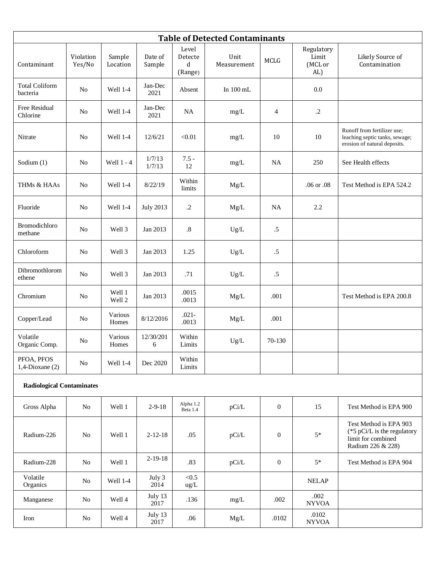| <b>Table of Detected Contaminants</b> |                     |                    |                   |                                  |                     |                  |                                       |                                                                                                     |
|---------------------------------------|---------------------|--------------------|-------------------|----------------------------------|---------------------|------------------|---------------------------------------|-----------------------------------------------------------------------------------------------------|
| Contaminant                           | Violation<br>Yes/No | Sample<br>Location | Date of<br>Sample | Level<br>Detecte<br>d<br>(Range) | Unit<br>Measurement | <b>MCLG</b>      | Regulatory<br>Limit<br>(MCL or<br>AL) | Likely Source of<br>Contamination                                                                   |
| <b>Total Coliform</b><br>bacteria     | N <sub>o</sub>      | Well 1-4           | Jan-Dec<br>2021   | Absent                           | In $100$ mL         |                  | $0.0\,$                               |                                                                                                     |
| Free Residual<br>Chlorine             | N <sub>0</sub>      | Well 1-4           | Jan-Dec<br>2021   | <b>NA</b>                        | mg/L                | 4                | $\cdot$ .2                            |                                                                                                     |
| Nitrate                               | N <sub>o</sub>      | Well 1-4           | 12/6/21           | < 0.01                           | mg/L                | 10               | 10                                    | Runoff from fertilizer use;<br>leaching septic tanks, sewage;<br>erosion of natural deposits.       |
| Sodium (1)                            | N <sub>o</sub>      | Well 1 - 4         | 1/7/13<br>1/7/13  | $7.5 -$<br>12                    | mg/L                | <b>NA</b>        | 250                                   | See Health effects                                                                                  |
| THMs & HAAs                           | N <sub>o</sub>      | Well 1-4           | 8/22/19           | Within<br>limits                 | Mg/L                |                  | .06 or .08                            | Test Method is EPA 524.2                                                                            |
| Fluoride                              | N <sub>o</sub>      | Well 1-4           | <b>July 2013</b>  | $\cdot$ .2                       | Mg/L                | NA               | 2.2                                   |                                                                                                     |
| Bromodichloro<br>methane              | N <sub>0</sub>      | Well 3             | Jan 2013          | $.8\,$                           | Ug/L                | $.5\,$           |                                       |                                                                                                     |
| Chloroform                            | N <sub>0</sub>      | Well 3             | Jan 2013          | 1.25                             | Ug/L                | $.5\,$           |                                       |                                                                                                     |
| Dibromothlorom<br>ethene              | N <sub>o</sub>      | Well 3             | Jan 2013          | .71                              | Ug/L                | $.5\,$           |                                       |                                                                                                     |
| Chromium                              | N <sub>0</sub>      | Well 1<br>Well 2   | Jan 2013          | .0015<br>.0013                   | Mg/L                | .001             |                                       | Test Method is EPA 200.8                                                                            |
| Copper/Lead                           | N <sub>0</sub>      | Various<br>Homes   | 8/12/2016         | $.021 -$<br>.0013                | Mg/L                | .001             |                                       |                                                                                                     |
| Volatile<br>Organic Comp.             | N <sub>0</sub>      | Various<br>Homes   | 12/30/201<br>6    | Within<br>Limits                 | Ug/L                | 70-130           |                                       |                                                                                                     |
| PFOA, PFOS<br>$1,4$ -Dioxane $(2)$    | No                  | Well 1-4           | Dec 2020          | Within<br>Limits                 |                     |                  |                                       |                                                                                                     |
| <b>Radiological Contaminates</b>      |                     |                    |                   |                                  |                     |                  |                                       |                                                                                                     |
| Gross Alpha                           | N <sub>o</sub>      | Well 1             | $2 - 9 - 18$      | Alpha 1.2<br>Beta 1.4            | pCi/L               | $\theta$         | 15                                    | Test Method is EPA 900                                                                              |
| Radium-226                            | No                  | Well 1             | $2 - 12 - 18$     | .05                              | pCi/L               | $\boldsymbol{0}$ | $5*$                                  | Test Method is EPA 903<br>( $*5$ pCi/L is the regulatory<br>limit for combined<br>Radium 226 & 228) |
| Radium-228                            | $\rm No$            | Well 1             | $2 - 19 - 18$     | .83                              | pCi/L               | $\boldsymbol{0}$ | $5\ast$                               | Test Method is EPA 904                                                                              |

Volatile

Volatile<br>Organics No Well 1-4

Manganese No Well 4

Iron No Well 4

July 3 2014

July 13<br>2017

July 13 2017

 $<\!\!0.5$ 

 $\begin{array}{c|c}\n\hline\n\text{NELAP} \\
\text{ug/L}\n\end{array}$ 

.136 mg/L .002 .002

.06 Mg/L .0102 .0102 .0102

NYVOA